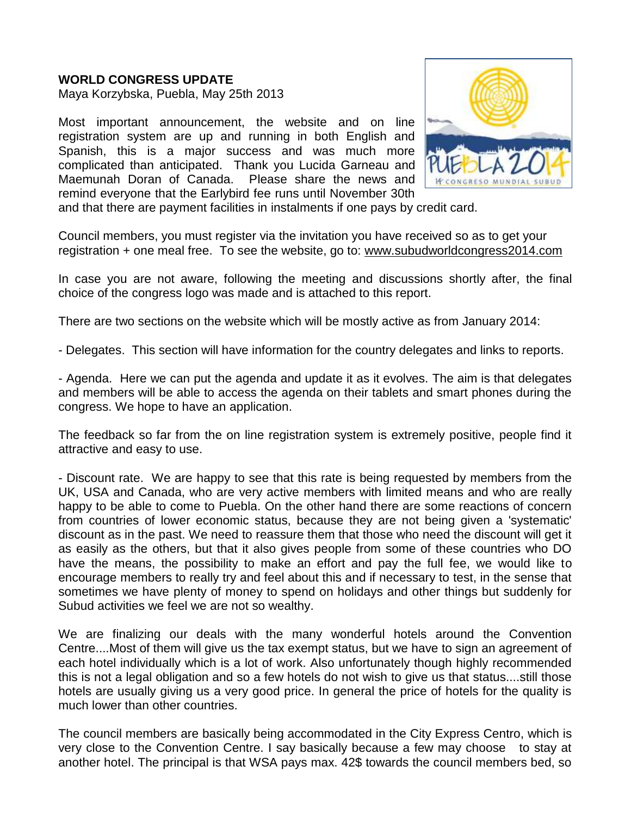## **WORLD CONGRESS UPDATE**

Maya Korzybska, Puebla, May 25th 2013

Most important announcement, the website and on line registration system are up and running in both English and Spanish, this is a major success and was much more complicated than anticipated. Thank you Lucida Garneau and Maemunah Doran of Canada. Please share the news and remind everyone that the Earlybird fee runs until November 30th



and that there are payment facilities in instalments if one pays by credit card.

Council members, you must register via the invitation you have received so as to get your registration + one meal free. To see the website, go to: [www.subudworldcongress2014.com](http://www.subudworldcongress2014.com/)

In case you are not aware, following the meeting and discussions shortly after, the final choice of the congress logo was made and is attached to this report.

There are two sections on the website which will be mostly active as from January 2014:

- Delegates. This section will have information for the country delegates and links to reports.

- Agenda. Here we can put the agenda and update it as it evolves. The aim is that delegates and members will be able to access the agenda on their tablets and smart phones during the congress. We hope to have an application.

The feedback so far from the on line registration system is extremely positive, people find it attractive and easy to use.

- Discount rate. We are happy to see that this rate is being requested by members from the UK, USA and Canada, who are very active members with limited means and who are really happy to be able to come to Puebla. On the other hand there are some reactions of concern from countries of lower economic status, because they are not being given a 'systematic' discount as in the past. We need to reassure them that those who need the discount will get it as easily as the others, but that it also gives people from some of these countries who DO have the means, the possibility to make an effort and pay the full fee, we would like to encourage members to really try and feel about this and if necessary to test, in the sense that sometimes we have plenty of money to spend on holidays and other things but suddenly for Subud activities we feel we are not so wealthy.

We are finalizing our deals with the many wonderful hotels around the Convention Centre....Most of them will give us the tax exempt status, but we have to sign an agreement of each hotel individually which is a lot of work. Also unfortunately though highly recommended this is not a legal obligation and so a few hotels do not wish to give us that status....still those hotels are usually giving us a very good price. In general the price of hotels for the quality is much lower than other countries.

The council members are basically being accommodated in the City Express Centro, which is very close to the Convention Centre. I say basically because a few may choose to stay at another hotel. The principal is that WSA pays max. 42\$ towards the council members bed, so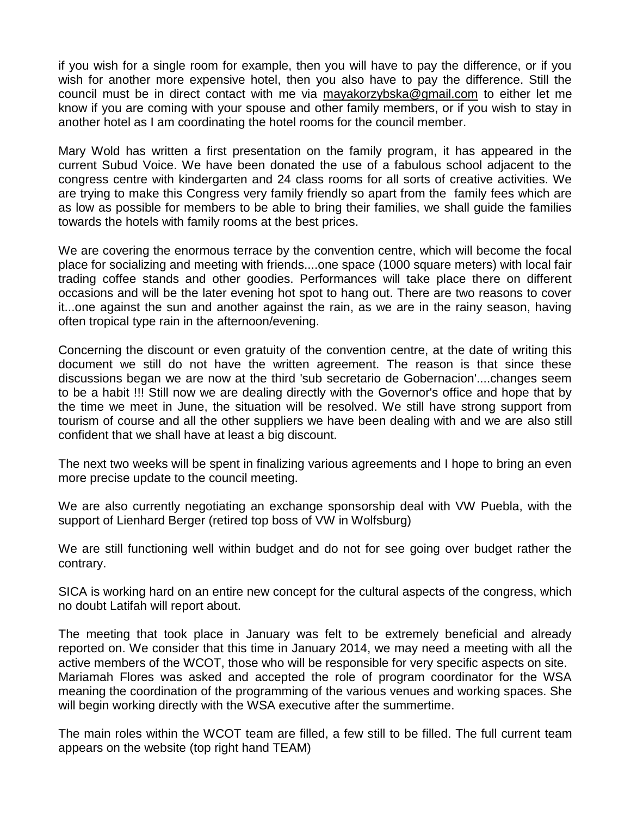if you wish for a single room for example, then you will have to pay the difference, or if you wish for another more expensive hotel, then you also have to pay the difference. Still the council must be in direct contact with me via [mayakorzybska@gmail.com](mailto:mayakorzybska@gmail.com) to either let me know if you are coming with your spouse and other family members, or if you wish to stay in another hotel as I am coordinating the hotel rooms for the council member.

Mary Wold has written a first presentation on the family program, it has appeared in the current Subud Voice. We have been donated the use of a fabulous school adjacent to the congress centre with kindergarten and 24 class rooms for all sorts of creative activities. We are trying to make this Congress very family friendly so apart from the family fees which are as low as possible for members to be able to bring their families, we shall guide the families towards the hotels with family rooms at the best prices.

We are covering the enormous terrace by the convention centre, which will become the focal place for socializing and meeting with friends....one space (1000 square meters) with local fair trading coffee stands and other goodies. Performances will take place there on different occasions and will be the later evening hot spot to hang out. There are two reasons to cover it...one against the sun and another against the rain, as we are in the rainy season, having often tropical type rain in the afternoon/evening.

Concerning the discount or even gratuity of the convention centre, at the date of writing this document we still do not have the written agreement. The reason is that since these discussions began we are now at the third 'sub secretario de Gobernacion'....changes seem to be a habit !!! Still now we are dealing directly with the Governor's office and hope that by the time we meet in June, the situation will be resolved. We still have strong support from tourism of course and all the other suppliers we have been dealing with and we are also still confident that we shall have at least a big discount.

The next two weeks will be spent in finalizing various agreements and I hope to bring an even more precise update to the council meeting.

We are also currently negotiating an exchange sponsorship deal with VW Puebla, with the support of Lienhard Berger (retired top boss of VW in Wolfsburg)

We are still functioning well within budget and do not for see going over budget rather the contrary.

SICA is working hard on an entire new concept for the cultural aspects of the congress, which no doubt Latifah will report about.

The meeting that took place in January was felt to be extremely beneficial and already reported on. We consider that this time in January 2014, we may need a meeting with all the active members of the WCOT, those who will be responsible for very specific aspects on site. Mariamah Flores was asked and accepted the role of program coordinator for the WSA meaning the coordination of the programming of the various venues and working spaces. She will begin working directly with the WSA executive after the summertime.

The main roles within the WCOT team are filled, a few still to be filled. The full current team appears on the website (top right hand TEAM)